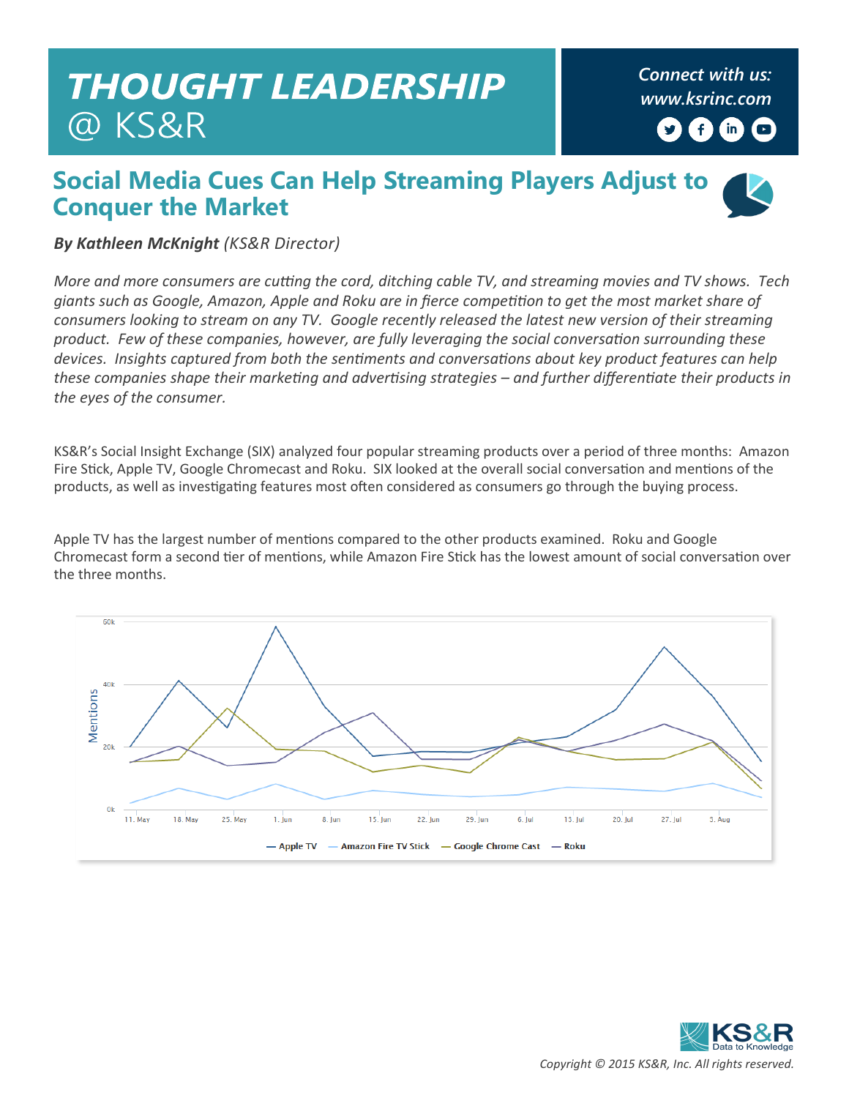## **THOUGHT LEADERSHIP** @ KS&R

*Connect with us: [www.ksrinc.com](http://www.ksrinc.com/)*  $f$  $(m)$  $\Box$ 

## **Social Media Cues Can Help Streaming Players Adjust to Conquer the Market**



*By Kathleen McKnight (KS&R Director)*

*More and more consumers are cutting the cord, ditching cable TV, and streaming movies and TV shows. Tech giants such as Google, Amazon, Apple and Roku are in fierce competition to get the most market share of consumers looking to stream on any TV. Google recently released the latest new version of their streaming product. Few of these companies, however, are fully leveraging the social conversation surrounding these devices. Insights captured from both the sentiments and conversations about key product features can help these companies shape their marketing and advertising strategies – and further differentiate their products in the eyes of the consumer.*

KS&R's Social Insight Exchange (SIX) analyzed four popular streaming products over a period of three months: Amazon Fire Stick, Apple TV, Google Chromecast and Roku. SIX looked at the overall social conversation and mentions of the products, as well as investigating features most often considered as consumers go through the buying process.

Apple TV has the largest number of mentions compared to the other products examined. Roku and Google Chromecast form a second tier of mentions, while Amazon Fire Stick has the lowest amount of social conversation over the three months.



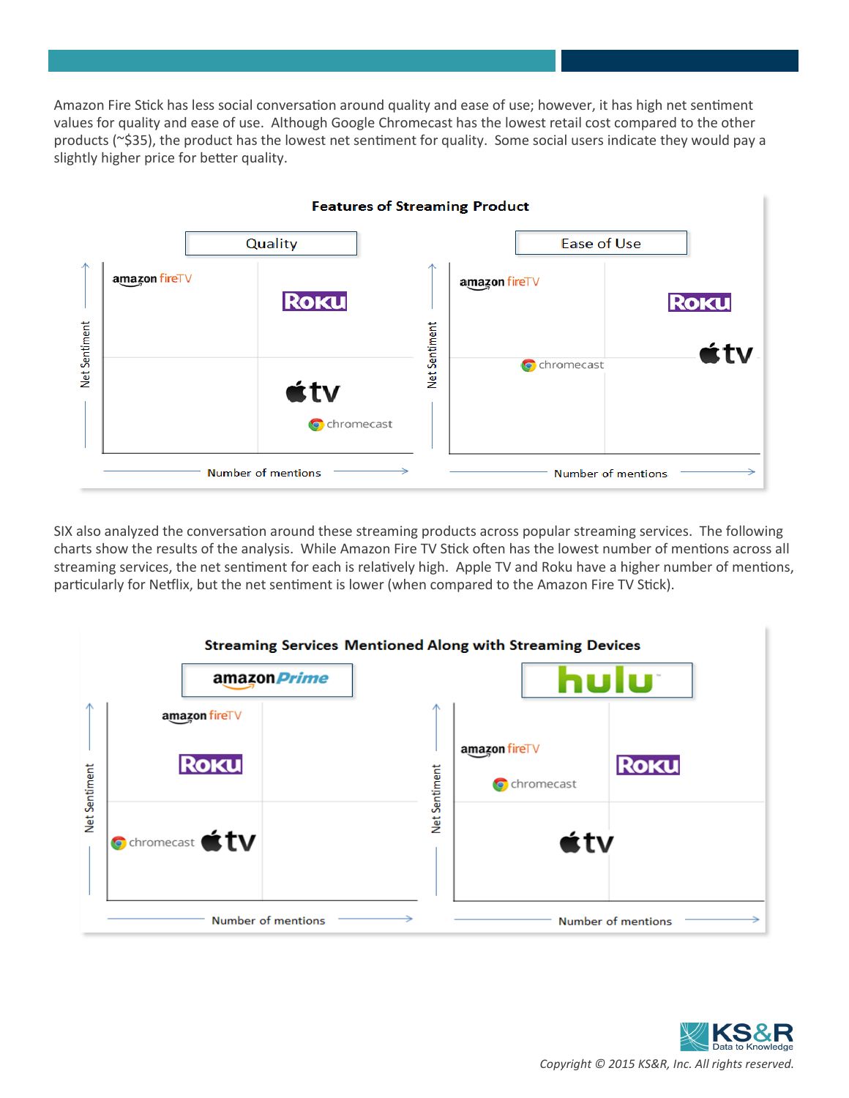Amazon Fire Stick has less social conversation around quality and ease of use; however, it has high net sentiment values for quality and ease of use. Although Google Chromecast has the lowest retail cost compared to the other products (~\$35), the product has the lowest net sentiment for quality. Some social users indicate they would pay a slightly higher price for better quality.



SIX also analyzed the conversation around these streaming products across popular streaming services. The following charts show the results of the analysis. While Amazon Fire TV Stick often has the lowest number of mentions across all streaming services, the net sentiment for each is relatively high. Apple TV and Roku have a higher number of mentions, particularly for Netflix, but the net sentiment is lower (when compared to the Amazon Fire TV Stick).

|               |                               | <b>Streaming Services Mentioned Along with Streaming Devices</b> |  |
|---------------|-------------------------------|------------------------------------------------------------------|--|
|               | amazon <i>Prime</i>           |                                                                  |  |
|               | amazon fireTV                 |                                                                  |  |
| Net Sentiment | <b>ROKU</b>                   | amazon fireTV<br><b>ROKU</b><br>Net Sentiment<br>C chromecast    |  |
|               | <b>O</b> chromecast <b>tv</b> | $\star$ tv                                                       |  |
|               | Number of mentions            | Number of mentions                                               |  |